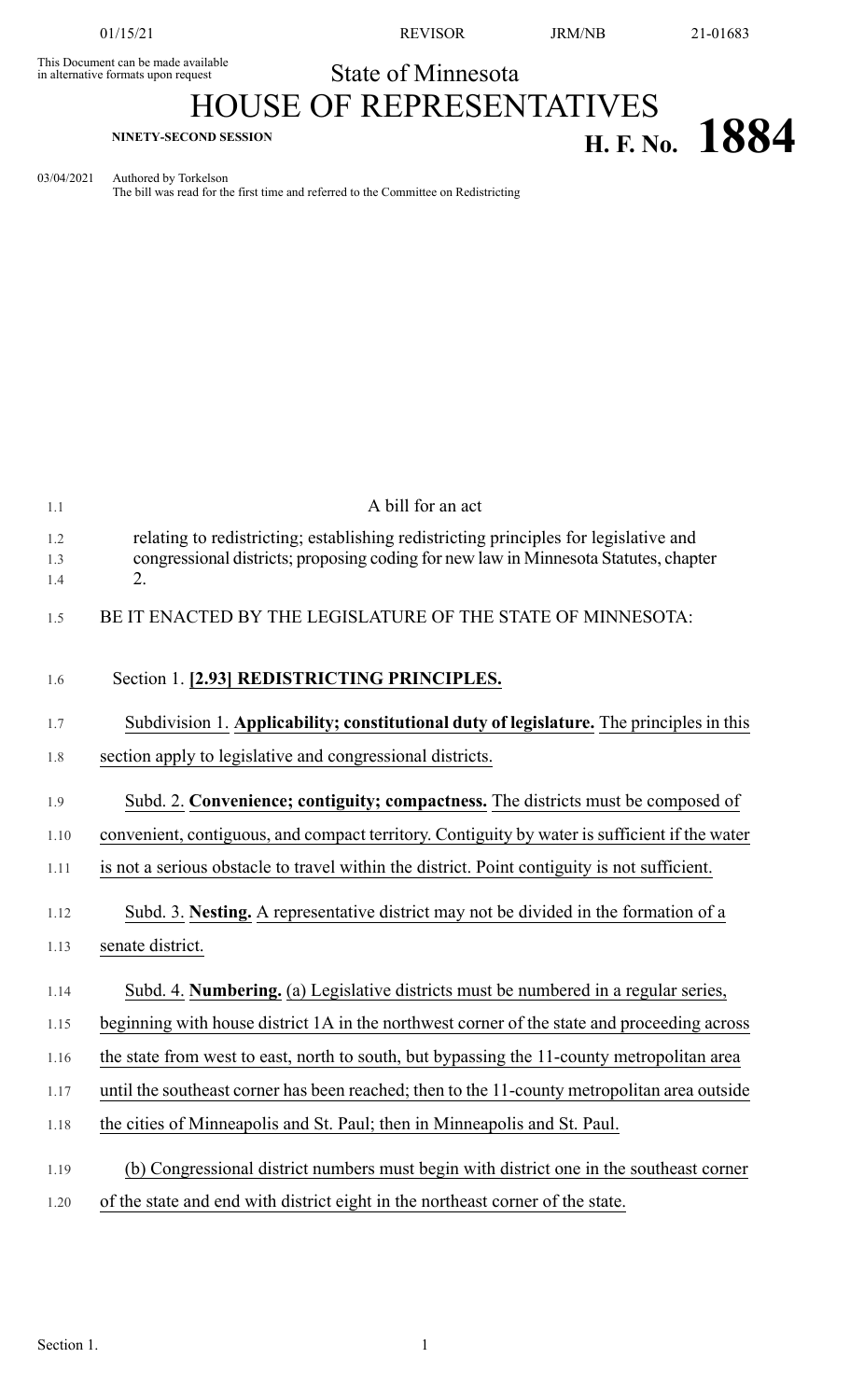This Document can be made available<br>in alternative formats upon request

01/15/21 REVISOR JRM/NB 21-01683

State of Minnesota

## HOUSE OF REPRESENTATIVES **H. F. No.**  $1884$

03/04/2021 Authored by Torkelson The bill was read for the first time and referred to the Committee on Redistricting

| 1.1               | A bill for an act                                                                                                                                                                  |
|-------------------|------------------------------------------------------------------------------------------------------------------------------------------------------------------------------------|
| 1.2<br>1.3<br>1.4 | relating to redistricting; establishing redistricting principles for legislative and<br>congressional districts; proposing coding for new law in Minnesota Statutes, chapter<br>2. |
| 1.5               | BE IT ENACTED BY THE LEGISLATURE OF THE STATE OF MINNESOTA:                                                                                                                        |
| 1.6               | Section 1. [2.93] REDISTRICTING PRINCIPLES.                                                                                                                                        |
| 1.7               | Subdivision 1. Applicability; constitutional duty of legislature. The principles in this                                                                                           |
| 1.8               | section apply to legislative and congressional districts.                                                                                                                          |
| 1.9               | Subd. 2. Convenience; contiguity; compactness. The districts must be composed of                                                                                                   |
| 1.10              | convenient, contiguous, and compact territory. Contiguity by water is sufficient if the water                                                                                      |
| 1.11              | is not a serious obstacle to travel within the district. Point contiguity is not sufficient.                                                                                       |
| 1.12              | Subd. 3. Nesting. A representative district may not be divided in the formation of a                                                                                               |
| 1.13              | senate district.                                                                                                                                                                   |
| 1.14              | Subd. 4. Numbering. (a) Legislative districts must be numbered in a regular series,                                                                                                |
| 1.15              | beginning with house district 1A in the northwest corner of the state and proceeding across                                                                                        |
| 1.16              | the state from west to east, north to south, but bypassing the 11-county metropolitan area                                                                                         |
| 1.17              | until the southeast corner has been reached; then to the 11-county metropolitan area outside                                                                                       |
| 1.18              | the cities of Minneapolis and St. Paul; then in Minneapolis and St. Paul.                                                                                                          |
| 1.19              | (b) Congressional district numbers must begin with district one in the southeast corner                                                                                            |
| 1.20              | of the state and end with district eight in the northeast corner of the state.                                                                                                     |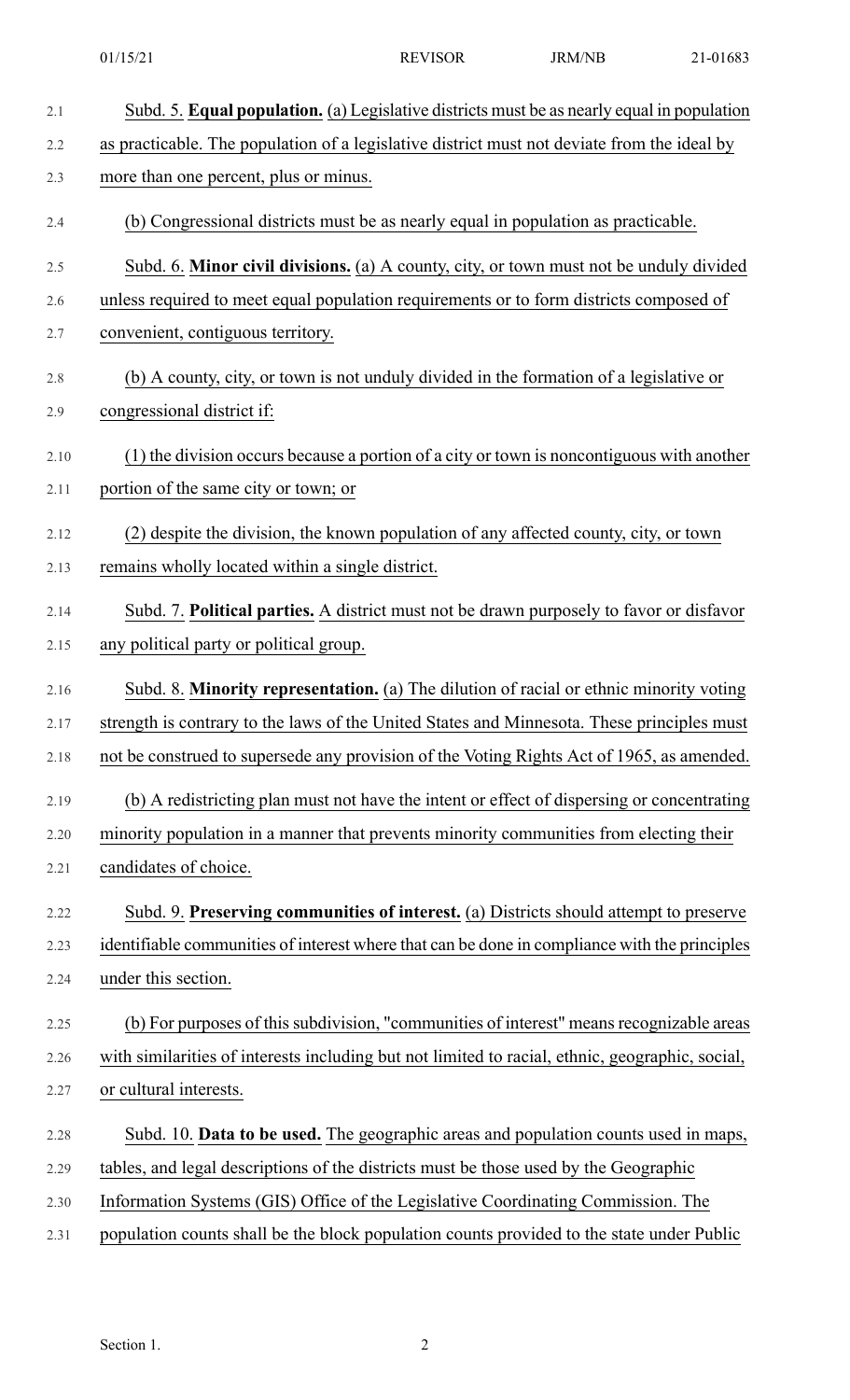| 2.1  | Subd. 5. Equal population. (a) Legislative districts must be as nearly equal in population      |
|------|-------------------------------------------------------------------------------------------------|
| 2.2  | as practicable. The population of a legislative district must not deviate from the ideal by     |
| 2.3  | more than one percent, plus or minus.                                                           |
| 2.4  | (b) Congressional districts must be as nearly equal in population as practicable.               |
| 2.5  | Subd. 6. Minor civil divisions. (a) A county, city, or town must not be unduly divided          |
| 2.6  | unless required to meet equal population requirements or to form districts composed of          |
| 2.7  | convenient, contiguous territory.                                                               |
| 2.8  | (b) A county, city, or town is not unduly divided in the formation of a legislative or          |
| 2.9  | congressional district if:                                                                      |
| 2.10 | (1) the division occurs because a portion of a city or town is noncontiguous with another       |
| 2.11 | portion of the same city or town; or                                                            |
| 2.12 | (2) despite the division, the known population of any affected county, city, or town            |
| 2.13 | remains wholly located within a single district.                                                |
| 2.14 | Subd. 7. Political parties. A district must not be drawn purposely to favor or disfavor         |
| 2.15 | any political party or political group.                                                         |
| 2.16 | Subd. 8. Minority representation. (a) The dilution of racial or ethnic minority voting          |
| 2.17 | strength is contrary to the laws of the United States and Minnesota. These principles must      |
| 2.18 | not be construed to supersede any provision of the Voting Rights Act of 1965, as amended.       |
| 2.19 | (b) A redistricting plan must not have the intent or effect of dispersing or concentrating      |
| 2.20 | minority population in a manner that prevents minority communities from electing their          |
| 2.21 | candidates of choice.                                                                           |
| 2.22 | Subd. 9. Preserving communities of interest. (a) Districts should attempt to preserve           |
| 2.23 | identifiable communities of interest where that can be done in compliance with the principles   |
| 2.24 | under this section.                                                                             |
| 2.25 | (b) For purposes of this subdivision, "communities of interest" means recognizable areas        |
| 2.26 | with similarities of interests including but not limited to racial, ethnic, geographic, social, |
| 2.27 | or cultural interests.                                                                          |
| 2.28 | Subd. 10. Data to be used. The geographic areas and population counts used in maps,             |
| 2.29 | tables, and legal descriptions of the districts must be those used by the Geographic            |
| 2.30 | Information Systems (GIS) Office of the Legislative Coordinating Commission. The                |
| 2.31 | population counts shall be the block population counts provided to the state under Public       |